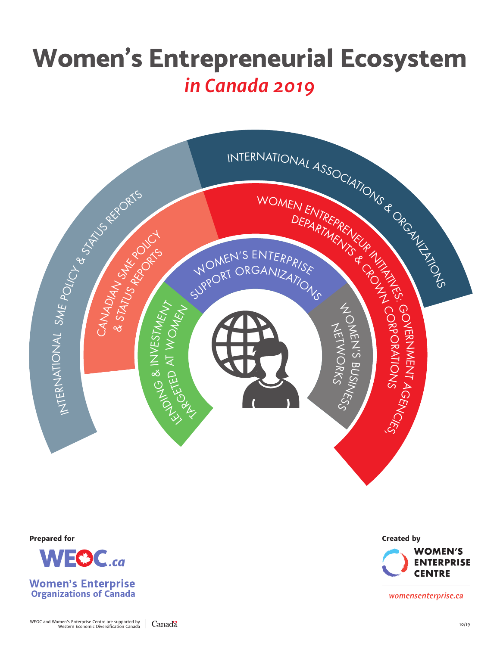# **Women's Entrepreneurial Ecosystem** *in Canada 2019*





**Prepared for Created by WOMEN'S ENTERPRISE CENTRE** 

womensenterprise.ca